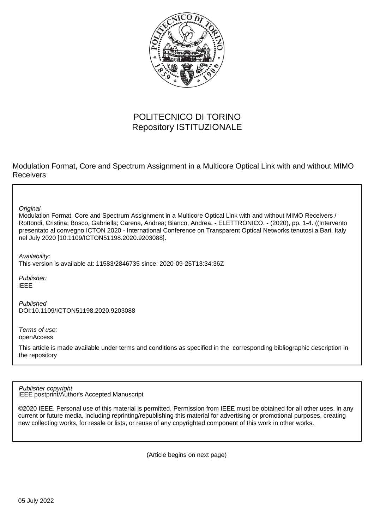

# POLITECNICO DI TORINO Repository ISTITUZIONALE

Modulation Format, Core and Spectrum Assignment in a Multicore Optical Link with and without MIMO Receivers

**Original** 

Modulation Format, Core and Spectrum Assignment in a Multicore Optical Link with and without MIMO Receivers / Rottondi, Cristina; Bosco, Gabriella; Carena, Andrea; Bianco, Andrea. - ELETTRONICO. - (2020), pp. 1-4. ((Intervento presentato al convegno ICTON 2020 - International Conference on Transparent Optical Networks tenutosi a Bari, Italy nel July 2020 [10.1109/ICTON51198.2020.9203088].

Availability:

This version is available at: 11583/2846735 since: 2020-09-25T13:34:36Z

Publisher: IEEE

Published DOI:10.1109/ICTON51198.2020.9203088

Terms of use: openAccess

This article is made available under terms and conditions as specified in the corresponding bibliographic description in the repository

IEEE postprint/Author's Accepted Manuscript Publisher copyright

©2020 IEEE. Personal use of this material is permitted. Permission from IEEE must be obtained for all other uses, in any current or future media, including reprinting/republishing this material for advertising or promotional purposes, creating new collecting works, for resale or lists, or reuse of any copyrighted component of this work in other works.

(Article begins on next page)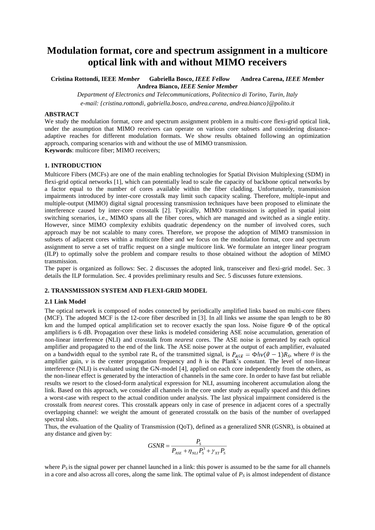# **Modulation format, core and spectrum assignment in a multicore optical link with and without MIMO receivers**

**Cristina Rottondi, IEEE** *Member* **Gabriella Bosco,** *IEEE Fellow* **Andrea Carena,** *IEEE Member*  **Andrea Bianco,** *IEEE Senior Member*

*Department of Electronics and Telecommunications, Politecnico di Torino, Turin, Italy e-mail: {cristina.rottondi, gabriella.bosco, andrea.carena, andrea.bianco}@polito.it*

#### **ABSTRACT**

We study the modulation format, core and spectrum assignment problem in a multi-core flexi-grid optical link, under the assumption that MIMO receivers can operate on various core subsets and considering distanceadaptive reaches for different modulation formats. We show results obtained following an optimization approach, comparing scenarios with and without the use of MIMO transmission. **Keywords**: multicore fiber; MIMO receivers;

#### **1. INTRODUCTION**

Multicore Fibers (MCFs) are one of the main enabling technologies for Spatial Division Multiplexing (SDM) in flexi-grid optical networks [1], which can potentially lead to scale the capacity of backbone optical networks by a factor equal to the number of cores available within the fiber cladding. Unfortunately, transmission impairments introduced by inter-core crosstalk may limit such capacity scaling. Therefore, multiple-input and multiple-output (MIMO) digital signal processing transmission techniques have been proposed to eliminate the interference caused by inter-core crosstalk [2]. Typically, MIMO transmission is applied in spatial joint switching scenarios, i.e., MIMO spans all the fiber cores, which are managed and switched as a single entity. However, since MIMO complexity exhibits quadratic dependency on the number of involved cores, such approach may be not scalable to many cores. Therefore, we propose the adoption of MIMO transmission in subsets of adjacent cores within a multicore fiber and we focus on the modulation format, core and spectrum assignment to serve a set of traffic request on a single multicore link. We formulate an integer linear program (ILP) to optimally solve the problem and compare results to those obtained without the adoption of MIMO transmission.

The paper is organized as follows: Sec. 2 discusses the adopted link, transceiver and flexi-grid model. Sec. 3 details the ILP formulation. Sec. 4 provides preliminary results and Sec. 5 discusses future extensions.

#### **2. TRANSMISSION SYSTEM AND FLEXI-GRID MODEL**

#### **2.1 Link Model**

The optical network is composed of nodes connected by periodically amplified links based on multi-core fibers (MCF). The adopted MCF is the 12-core fiber described in [3]. In all links we assume the span length to be 80 km and the lumped optical amplification set to recover exactly the span loss. Noise figure Φ of the optical amplifiers is 6 dB. Propagation over these links is modeled considering ASE noise accumulation, generation of non-linear interference (NLI) and crosstalk from *nearest* cores. The ASE noise is generated by each optical amplifier and propagated to the end of the link. The ASE noise power at the output of each amplifier, evaluated on a bandwidth equal to the symbol rate R<sub>s</sub> of the transmitted signal, is  $P_{ASE} = \Phi h v (\theta - 1) R_S$ , where  $\theta$  is the amplifier gain, *v* is the center propagation frequency and *h* is the Plank's constant. The level of non-linear interference (NLI) is evaluated using the GN-model [4], applied on each core independently from the others, as the non-linear effect is generated by the interaction of channels in the same core. In order to have fast but reliable results we resort to the closed-form analytical expression for NLI, assuming incoherent accumulation along the link. Based on this approach, we consider all channels in the core under study as equally spaced and this defines a worst-case with respect to the actual condition under analysis. The last physical impairment considered is the crosstalk from *nearest* cores. This crosstalk appears only in case of presence in adjacent cores of a spectrally overlapping channel: we weight the amount of generated crosstalk on the basis of the number of overlapped spectral slots.

Thus, the evaluation of the Quality of Transmission (QoT), defined as a generalized SNR (GSNR), is obtained at any distance and given by:

$$
GSNR = \frac{P_S}{P_{ASE} + \eta_{NL} P_S^3 + \gamma_{XT} P_S}
$$

where  $P<sub>S</sub>$  is the signal power per channel launched in a link: this power is assumed to be the same for all channels in a core and also across all cores, along the same link. The optimal value of  $P<sub>S</sub>$  is almost independent of distance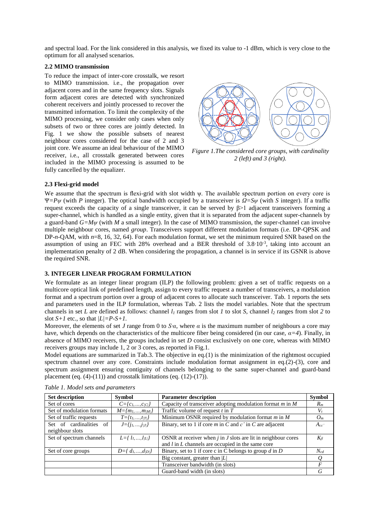and spectral load. For the link considered in this analysis, we fixed its value to -1 dBm, which is very close to the optimum for all analysed scenarios.

### **2.2 MIMO transmission**

To reduce the impact of inter-core crosstalk, we resort to MIMO transmission. i.e., the propagation over adjacent cores and in the same frequency slots. Signals form adjacent cores are detected with synchronized coherent receivers and jointly processed to recover the transmitted information. To limit the complexity of the MIMO processing, we consider only cases when only subsets of two or three cores are jointly detected. In Fig. 1 we show the possible subsets of nearest neighbour cores considered for the case of 2 and 3 joint core. We assume an ideal behaviour of the MIMO receiver, i.e., all crosstalk generated between cores included in the MIMO processing is assumed to be fully cancelled by the equalizer.



*Figure 1.The considered core groups, with cardinality 2 (left) and 3 (right).*

#### **2.3 Flexi-grid model**

We assume that the spectrum is flexi-grid with slot width  $\psi$ . The available spectrum portion on every core is Ψ*=Pψ* (with *P* integer). The optical bandwidth occupied by a transceiver is *Ω=Sψ* (with *S* integer). If a traffic request exceeds the capacity of a single transceiver, it can be served by  $β>1$  adjacent transceivers forming a super-channel, which is handled as a single entity, given that it is separated from the adjacent super-channels by a guard-band *G=Mψ* (with *M* a small integer). In the case of MIMO transmission, the super-channel can involve multiple neighbour cores, named *group*. Transceivers support different modulation formats (i.e. DP-QPSK and DP-*n*-QAM, with *n*=8, 16, 32, 64). For each modulation format, we set the minimum required SNR based on the assumption of using an FEC with 28% overhead and a BER threshold of 3.8⋅10<sup>-3</sup>, taking into account an implementation penalty of 2 dB. When considering the propagation, a channel is in service if its GSNR is above the required SNR.

### **3. INTEGER LINEAR PROGRAM FORMULATION**

We formulate as an integer linear program (ILP) the following problem: given a set of traffic requests on a multicore optical link of predefined length, assign to every traffic request a number of transceivers, a modulation format and a spectrum portion over a group of adjacent cores to allocate such transceiver. Tab. 1 reports the sets and parameters used in the ILP formulation, whereas Tab. 2 lists the model variables. Note that the spectrum channels in set *L* are defined as follows: channel *l<sup>1</sup>* ranges from slot *1* to slot *S*, channel *l<sup>2</sup>* ranges from slot *2* to slot  $S+1$  etc., so that  $|L|=P-S+1$ .

Moreover, the elements of set *J* range from 0 to *S∙α,* where *α* is the maximum number of neighbours a core may have, which depends on the characteristics of the multicore fiber being considered (in our case, *α=4*). Finally, in absence of MIMO receivers, the groups included in set *D* consist exclusively on one core, whereas with MIMO receivers groups may include 1, 2 or 3 cores, as reported in Fig.1.

Model equations are summarized in Tab.3. The objective in eq.(1) is the minimization of the rightmost occupied spectrum channel over any core. Constraints include modulation format assignment in eq.(2)-(3), core and spectrum assignment ensuring contiguity of channels belonging to the same super-channel and guard-band placement (eq.  $(4)-(11)$ ) and crosstalk limitations (eq.  $(12)-(17)$ ).

| <b>Set description</b>    | Symbol                     | <b>Parameter description</b>                                      | <b>Symbol</b> |
|---------------------------|----------------------------|-------------------------------------------------------------------|---------------|
| Set of cores              | $C = \{c_1, , c_{ C }\}\$  | Capacity of transceiver adopting modulation format $m$ in $M$     | $R_m$         |
| Set of modulation formats | $M = \{m_1, , m_{ M }\}\$  | Traffic volume of request $t$ in $T$                              | $V_t$         |
| Set of traffic requests   | $T = \{t_1, , t_{ T }\}\$  | Minimum OSNR required by modulation format $m$ in $M$             | $O_m$         |
| Set of cardinalities of   | $J = \{j_1, , j_{ J }\}\$  | Binary, set to 1 if core $m$ in $C$ and $c'$ in $C$ are adjacent  | $A_{cc}$ '    |
| neighbour slots           |                            |                                                                   |               |
| Set of spectrum channels  | $L = \{ l_1, , l_{ L } \}$ | OSNR at receiver when $j$ in $J$ slots are lit in neighbour cores | $K_{il}$      |
|                           |                            | and $l$ in $L$ channels are occupied in the same core             |               |
| Set of core groups        | $D = \{ d_1, , d_{ D } \}$ | Binary, set to 1 if core c in C belongs to group $d$ in $D$       | $N_{cd}$      |
|                           |                            | Big constant, greater than $ L $                                  |               |
|                           |                            | Transceiver bandwidth (in slots)                                  | F             |
|                           |                            | Guard-band width (in slots)                                       | G             |

*Table 1. Model sets and parameters*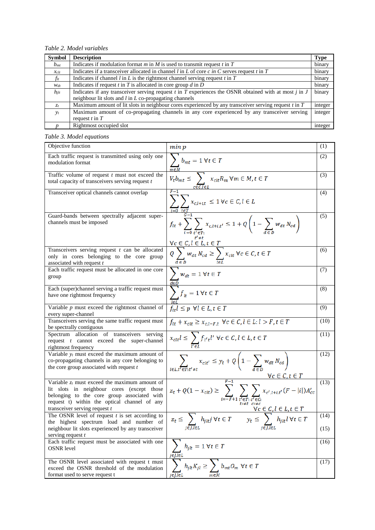*Table 2. Model variables*

| <b>Symbol</b>    | <b>Description</b>                                                                                                       | <b>Type</b> |
|------------------|--------------------------------------------------------------------------------------------------------------------------|-------------|
| $b_{mt}$         | Indicates if modulation format $m$ in $M$ is used to transmit request $t$ in $T$                                         | binary      |
| $x_{\text{clt}}$ | Indicates if a transceiver allocated in channel $l$ in $L$ of core $c$ in $C$ serves request $t$ in $T$                  | binary      |
| $f_{lt}$         | Indicates if channel $l$ in $L$ is the rightmost channel serving request $t$ in $T$                                      | binary      |
| Wdt              | Indicates if request $t$ in $T$ is allocated in core group $d$ in $D$                                                    | binary      |
| $h_{ilt}$        | Indicates if any transceiver serving request $t$ in $\overline{T}$ experiences the OSNR obtained with at most $j$ in $J$ | binary      |
|                  | neighbour lit slots and $l$ in $L$ co-propagating channels                                                               |             |
| $z_{t}$          | Maximum amount of lit slots in neighbour cores experienced by any transceiver serving request $t$ in $T$                 | integer     |
| $v_t$            | Maximum amount of co-propagating channels in any core experienced by any transceiver serving                             | integer     |
|                  | request $t$ in $T$                                                                                                       |             |
|                  | Rightmost occupied slot                                                                                                  | integer     |

## *Table 3. Model equations*

| Objective function                                                                                                                                                                                                               | min p                                                                                                                                                      | (1)          |
|----------------------------------------------------------------------------------------------------------------------------------------------------------------------------------------------------------------------------------|------------------------------------------------------------------------------------------------------------------------------------------------------------|--------------|
| Each traffic request is transmitted using only one<br>modulation format                                                                                                                                                          | $\sum_{n} b_{mt} = 1 \,\forall t \in T$<br>m∈M                                                                                                             | (2)          |
| Traffic volume of request $t$ must not exceed the<br>total capacity of transceivers serving request $t$                                                                                                                          | $V_t b_{mt} \leq \sum_{i} x_{alt} R_m \forall m \in M, t \in T$                                                                                            | (3)          |
| Transceiver optical channels cannot overlap                                                                                                                                                                                      | $\sum x_{c,l+i,t} \leq 1 \forall c \in C, l \in L$                                                                                                         | (4)          |
| Guard-bands between spectrally adjacent super-<br>channels must be imposed                                                                                                                                                       | $f_{lt} + \sum_{i=0} \sum_{t' \in T:} x_{c, l+i, t'} \le 1 + Q\left(1 - \sum_{d \in D} w_{dt} N_{cd}\right)$                                               | (5)          |
| Transceivers serving request $t$ can be allocated<br>only in cores belonging to the core group<br>associated with request t                                                                                                      | $\frac{\forall c \in C, l \in L, t \in T}{Q \sum_{c \in T} w_{at} N_{cd}} \geq \sum_{t \in I} x_{ctt} \ \forall c \in C, t \in T$                          | (6)          |
| Each traffic request must be allocated in one core<br>group                                                                                                                                                                      | $\sum w_{dt} = 1 \forall t \in T$                                                                                                                          | (7)          |
| Each (super)channel serving a traffic request must<br>have one rightmost frequency                                                                                                                                               | $\frac{\overline{deD}}{\sum f_{lt}} = 1 \,\forall t \in T$                                                                                                 | (8)          |
| Variable $p$ must exceed the rightmost channel of<br>every super-channel                                                                                                                                                         | $f_{lt}l \leq p \ \forall l \in L, t \in T$                                                                                                                | (9)          |
| Transceivers serving the same traffic request must<br>be spectrally contiguous                                                                                                                                                   | $f_{lt} + x_{clt} \ge x_{c,l-F,t}$ $\forall c \in C, l \in L: l > F, t \in T$                                                                              | (10)         |
| Spectrum allocation of transceivers serving<br>request t cannot exceed the super-channel<br>rightmost frequency                                                                                                                  | $x_{\text{clt}}l \leq \sum_{u \in I} f_{u' t}l'$ $\forall c \in C, l \in L, t \in T$                                                                       | (11)         |
| Variable $y_t$ must exceed the maximum amount of<br>co-propagating channels in any core belonging to<br>the core group associated with request $t$                                                                               | $\sum_{t \in I} \sum_{t' \in T, t' \neq t} x_{clt'} \leq y_t + Q \left( 1 - \sum_{d \in D} w_{dt} N_{cd} \right)$<br>$\forall c \in C, t \in T$            | (12)         |
| Variable $z_t$ must exceed the maximum amount of<br>lit slots in neighbour cores (except those<br>belonging to the core group associated with<br>request t) within the optical channel of any<br>transceiver serving request $t$ | $F-1$<br>$z_t + Q(1 - x_{clt}) \ge \sum_{i=-F+1} \sum_{t' \in T: c' \in C:} x_{c', i+i, t'}(F -  i ) A'_{cc}$<br>$\forall c \in C, l \in L, t \in T$       | (13)         |
| The OSNR level of request $t$ is set according to<br>the highest spectrum load and number of<br>neighbour lit slots experienced by any transceiver                                                                               | $z_t \leq \sum_{i \in \mathcal{I}} h_{jlt} j \ \forall t \in T \qquad y_t \leq \sum_{i \in \mathcal{I}} h_{jlt} l \ \forall t \in T$<br>j∈J,l∈L<br>j∈J,l∈L | (14)<br>(15) |
| serving request $t$                                                                                                                                                                                                              |                                                                                                                                                            |              |
| Each traffic request must be associated with one<br><b>OSNR</b> level                                                                                                                                                            | $h_{jlt} = 1 \forall t \in T$<br>jeJ,leL                                                                                                                   | (16)         |
| The OSNR level associated with request t must<br>exceed the OSNR threshold of the modulation<br>format used to serve request t                                                                                                   | $b_{mt}O_m~\forall t\in T$<br>$h_{jlt}K_{jl}\geq$<br>jeJ.leL<br>т∈М                                                                                        | (17)         |